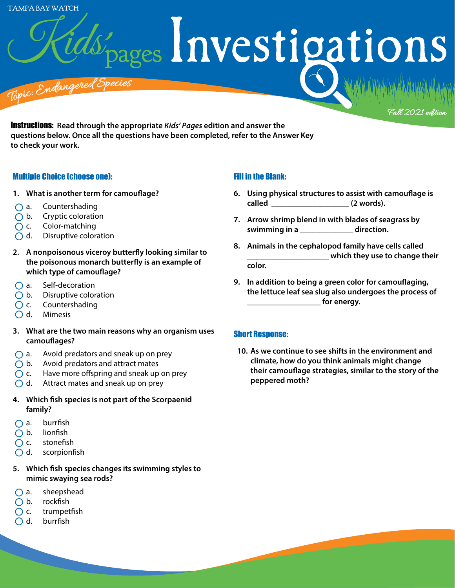**TAMPA BAY WATCH** 

pages Investigations

<sup>T</sup>op<sup>i</sup>c: <sup>E</sup>nda<sup>n</sup>g<sup>e</sup>re<sup>d</sup> <sup>S</sup>pecie<sup>s</sup> : Endanger

Instructions: **Read through the appropriate** *Kids' Pages* **edition and answer the questions below. Once all the questions have been completed, refer to the Answer Key to check your work.** 

#### Multiple Choice (choose one):

- **1. What is another term for camouflage?**
- $\bigcap$  a. Countershading
- $\bigcap$  b. Cryptic coloration
- $\bigcap$  c. Color-matching
- $\bigcirc$  d. Disruptive coloration
- **2. A nonpoisonous viceroy butterfly looking similar to the poisonous monarch butterfly is an example of which type of camouflage?**
- $\bigcap$  a. Self-decoration
- $\bigcap$  b. Disruptive coloration
- $\bigcap$  c. Countershading
- O d. Mimesis
- **3. What are the two main reasons why an organism uses camouflages?**
- $\bigcap$  a. Avoid predators and sneak up on prey
- $\bigcirc$  b. Avoid predators and attract mates
- $\bigcirc$  c. Have more offspring and sneak up on prey
- $\bigcirc$  d. Attract mates and sneak up on prey
- **4. Which fish species is not part of the Scorpaenid family?**
- $\bigcap$  a. burrfish
- $\bigcap$  b. lionfish
- $\bigcap$  c. stonefish
- $\bigcirc$  d. scorpionfish
- **5. Which fish species changes its swimming styles to mimic swaying sea rods?**
- $\bigcap$  a. sheepshead
- $\bigcap$  b. rockfish
- $\bigcap$  c. trumpetfish
- $\bigcap$  d. burrfish

## Fill in the Blank:

**6. Using physical structures to assist with camouflage is called \_\_\_\_\_\_\_\_\_\_\_\_\_\_\_\_\_\_\_ (2 words).**

Fall 2021 edition

- **7. Arrow shrimp blend in with blades of seagrass by swimming in a \_\_\_\_\_\_\_\_\_\_\_\_\_ direction.**
- **8. Animals in the cephalopod family have cells called \_\_\_\_\_\_\_\_\_\_\_\_\_\_\_\_\_\_\_\_ which they use to change their color.**
- **9. In addition to being a green color for camouflaging, the lettuce leaf sea slug also undergoes the process of \_\_\_\_\_\_\_\_\_\_\_\_\_\_\_\_\_\_ for energy.**

### Short Response:

**10. As we continue to see shifts in the environment and climate, how do you think animals might change their camouflage strategies, similar to the story of the peppered moth?**